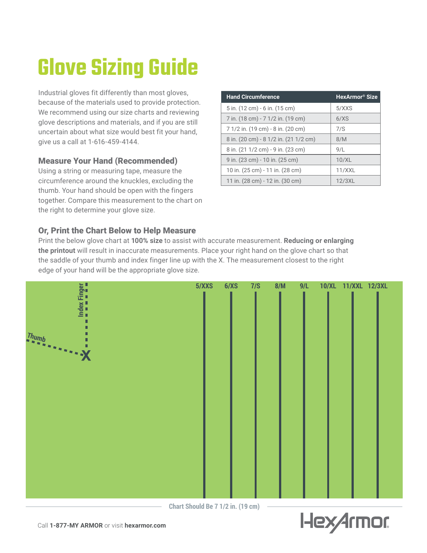## **Glove Sizing Guide**

Industrial gloves fit differently than most gloves, because of the materials used to provide protection. We recommend using our size charts and reviewing glove descriptions and materials, and if you are still uncertain about what size would best fit your hand, give us a call at 1-616-459-4144.

### Measure Your Hand (Recommended)

Using a string or measuring tape, measure the circumference around the knuckles, excluding the thumb. Your hand should be open with the fingers together. Compare this measurement to the chart on the right to determine your glove size.

| <b>Hand Circumference</b>             | HexArmor <sup>®</sup> Size |
|---------------------------------------|----------------------------|
| 5 in. (12 cm) - 6 in. (15 cm)         | 5/XXS                      |
| 7 in. (18 cm) - 7 1/2 in. (19 cm)     | 6/XS                       |
| 7 1/2 in. (19 cm) - 8 in. (20 cm)     | 7/S                        |
| 8 in. (20 cm) - 8 1/2 in. (21 1/2 cm) | 8/M                        |
| 8 in. (21 1/2 cm) - 9 in. (23 cm)     | 9/L                        |
| 9 in. (23 cm) - 10 in. (25 cm)        | 10/XL                      |
| 10 in. (25 cm) - 11 in. (28 cm)       | 11/XXL                     |
| 11 in. (28 cm) - 12 in. (30 cm)       | 12/3XL                     |

### Or, Print the Chart Below to Help Measure

Print the below glove chart at **100% size** to assist with accurate measurement. **Reducing or enlarging the printout** will result in inaccurate measurements. Place your right hand on the glove chart so that the saddle of your thumb and index finger line up with the X. The measurement closest to the right edge of your hand will be the appropriate glove size.



**Chart Should Be 7 1/2 in. (19 cm)**